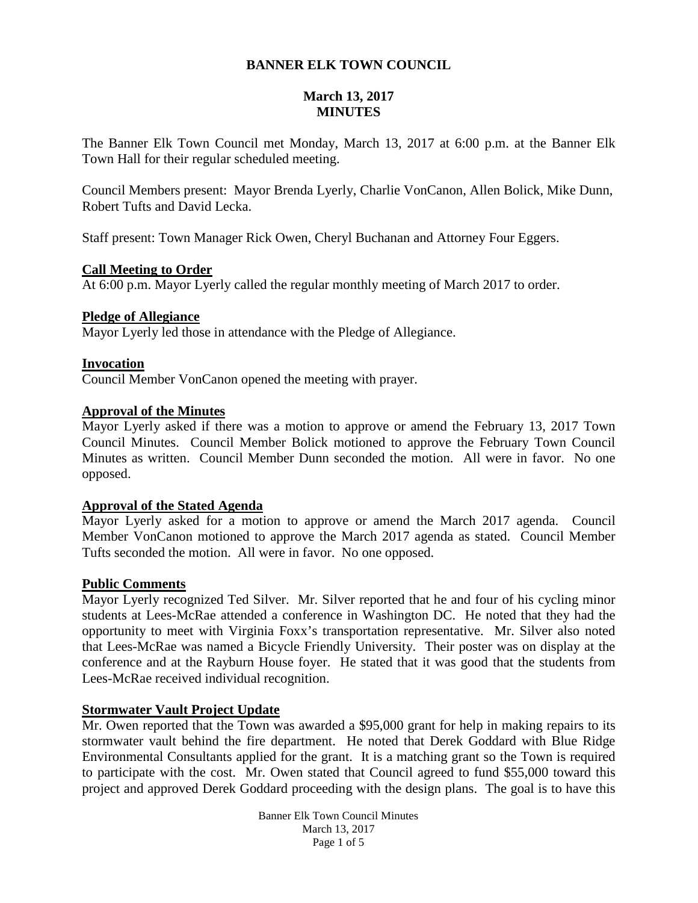# **BANNER ELK TOWN COUNCIL**

# **March 13, 2017 MINUTES**

The Banner Elk Town Council met Monday, March 13, 2017 at 6:00 p.m. at the Banner Elk Town Hall for their regular scheduled meeting.

Council Members present: Mayor Brenda Lyerly, Charlie VonCanon, Allen Bolick, Mike Dunn, Robert Tufts and David Lecka.

Staff present: Town Manager Rick Owen, Cheryl Buchanan and Attorney Four Eggers.

### **Call Meeting to Order**

At 6:00 p.m. Mayor Lyerly called the regular monthly meeting of March 2017 to order.

# **Pledge of Allegiance**

Mayor Lyerly led those in attendance with the Pledge of Allegiance.

# **Invocation**

Council Member VonCanon opened the meeting with prayer.

### **Approval of the Minutes**

Mayor Lyerly asked if there was a motion to approve or amend the February 13, 2017 Town Council Minutes. Council Member Bolick motioned to approve the February Town Council Minutes as written. Council Member Dunn seconded the motion. All were in favor. No one opposed.

### **Approval of the Stated Agenda**

Mayor Lyerly asked for a motion to approve or amend the March 2017 agenda. Council Member VonCanon motioned to approve the March 2017 agenda as stated. Council Member Tufts seconded the motion. All were in favor. No one opposed.

### **Public Comments**

Mayor Lyerly recognized Ted Silver. Mr. Silver reported that he and four of his cycling minor students at Lees-McRae attended a conference in Washington DC. He noted that they had the opportunity to meet with Virginia Foxx's transportation representative. Mr. Silver also noted that Lees-McRae was named a Bicycle Friendly University. Their poster was on display at the conference and at the Rayburn House foyer. He stated that it was good that the students from Lees-McRae received individual recognition.

# **Stormwater Vault Project Update**

Mr. Owen reported that the Town was awarded a \$95,000 grant for help in making repairs to its stormwater vault behind the fire department. He noted that Derek Goddard with Blue Ridge Environmental Consultants applied for the grant. It is a matching grant so the Town is required to participate with the cost. Mr. Owen stated that Council agreed to fund \$55,000 toward this project and approved Derek Goddard proceeding with the design plans. The goal is to have this

> Banner Elk Town Council Minutes March 13, 2017 Page 1 of 5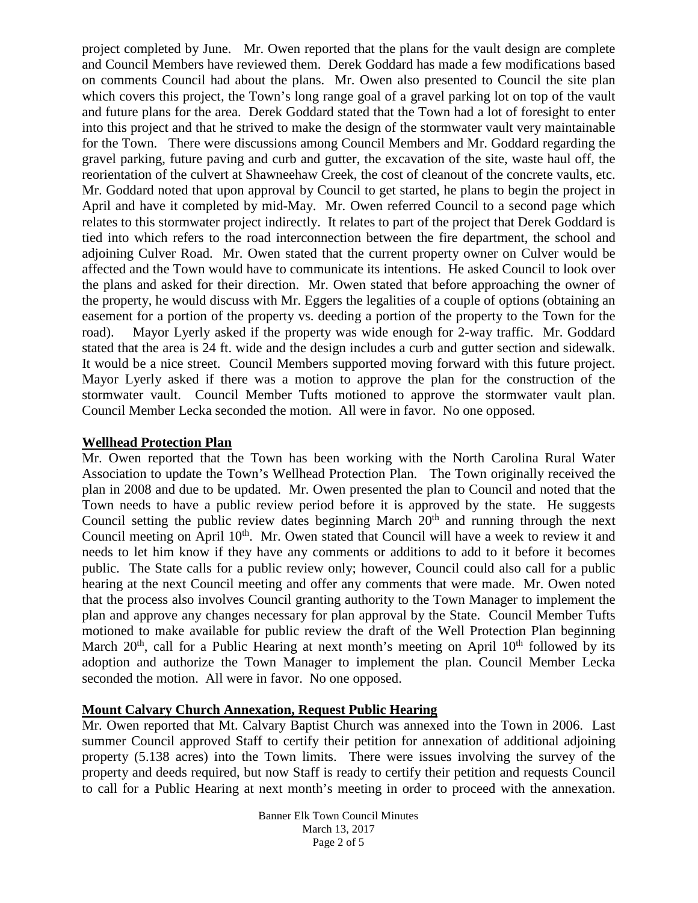project completed by June. Mr. Owen reported that the plans for the vault design are complete and Council Members have reviewed them. Derek Goddard has made a few modifications based on comments Council had about the plans. Mr. Owen also presented to Council the site plan which covers this project, the Town's long range goal of a gravel parking lot on top of the vault and future plans for the area. Derek Goddard stated that the Town had a lot of foresight to enter into this project and that he strived to make the design of the stormwater vault very maintainable for the Town. There were discussions among Council Members and Mr. Goddard regarding the gravel parking, future paving and curb and gutter, the excavation of the site, waste haul off, the reorientation of the culvert at Shawneehaw Creek, the cost of cleanout of the concrete vaults, etc. Mr. Goddard noted that upon approval by Council to get started, he plans to begin the project in April and have it completed by mid-May. Mr. Owen referred Council to a second page which relates to this stormwater project indirectly. It relates to part of the project that Derek Goddard is tied into which refers to the road interconnection between the fire department, the school and adjoining Culver Road. Mr. Owen stated that the current property owner on Culver would be affected and the Town would have to communicate its intentions. He asked Council to look over the plans and asked for their direction. Mr. Owen stated that before approaching the owner of the property, he would discuss with Mr. Eggers the legalities of a couple of options (obtaining an easement for a portion of the property vs. deeding a portion of the property to the Town for the road). Mayor Lyerly asked if the property was wide enough for 2-way traffic. Mr. Goddard stated that the area is 24 ft. wide and the design includes a curb and gutter section and sidewalk. It would be a nice street. Council Members supported moving forward with this future project. Mayor Lyerly asked if there was a motion to approve the plan for the construction of the stormwater vault. Council Member Tufts motioned to approve the stormwater vault plan. Council Member Lecka seconded the motion. All were in favor. No one opposed.

### **Wellhead Protection Plan**

Mr. Owen reported that the Town has been working with the North Carolina Rural Water Association to update the Town's Wellhead Protection Plan. The Town originally received the plan in 2008 and due to be updated. Mr. Owen presented the plan to Council and noted that the Town needs to have a public review period before it is approved by the state. He suggests Council setting the public review dates beginning March  $20<sup>th</sup>$  and running through the next Council meeting on April  $10<sup>th</sup>$ . Mr. Owen stated that Council will have a week to review it and needs to let him know if they have any comments or additions to add to it before it becomes public. The State calls for a public review only; however, Council could also call for a public hearing at the next Council meeting and offer any comments that were made. Mr. Owen noted that the process also involves Council granting authority to the Town Manager to implement the plan and approve any changes necessary for plan approval by the State. Council Member Tufts motioned to make available for public review the draft of the Well Protection Plan beginning March  $20<sup>th</sup>$ , call for a Public Hearing at next month's meeting on April  $10<sup>th</sup>$  followed by its adoption and authorize the Town Manager to implement the plan. Council Member Lecka seconded the motion. All were in favor. No one opposed.

# **Mount Calvary Church Annexation, Request Public Hearing**

Mr. Owen reported that Mt. Calvary Baptist Church was annexed into the Town in 2006. Last summer Council approved Staff to certify their petition for annexation of additional adjoining property (5.138 acres) into the Town limits. There were issues involving the survey of the property and deeds required, but now Staff is ready to certify their petition and requests Council to call for a Public Hearing at next month's meeting in order to proceed with the annexation.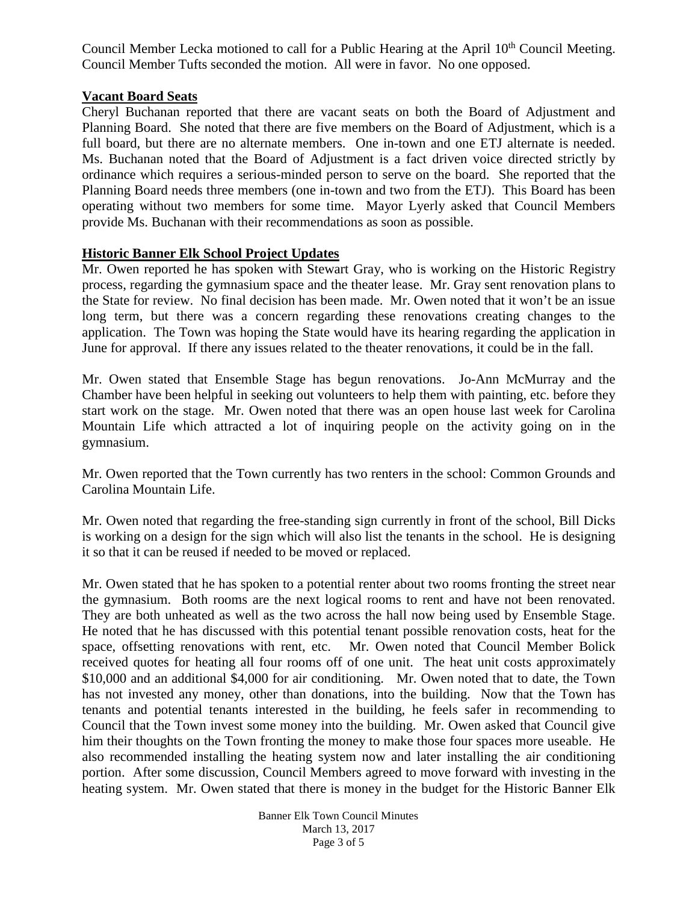Council Member Lecka motioned to call for a Public Hearing at the April 10<sup>th</sup> Council Meeting. Council Member Tufts seconded the motion. All were in favor. No one opposed.

# **Vacant Board Seats**

Cheryl Buchanan reported that there are vacant seats on both the Board of Adjustment and Planning Board. She noted that there are five members on the Board of Adjustment, which is a full board, but there are no alternate members. One in-town and one ETJ alternate is needed. Ms. Buchanan noted that the Board of Adjustment is a fact driven voice directed strictly by ordinance which requires a serious-minded person to serve on the board. She reported that the Planning Board needs three members (one in-town and two from the ETJ). This Board has been operating without two members for some time. Mayor Lyerly asked that Council Members provide Ms. Buchanan with their recommendations as soon as possible.

# **Historic Banner Elk School Project Updates**

Mr. Owen reported he has spoken with Stewart Gray, who is working on the Historic Registry process, regarding the gymnasium space and the theater lease. Mr. Gray sent renovation plans to the State for review. No final decision has been made. Mr. Owen noted that it won't be an issue long term, but there was a concern regarding these renovations creating changes to the application. The Town was hoping the State would have its hearing regarding the application in June for approval. If there any issues related to the theater renovations, it could be in the fall.

Mr. Owen stated that Ensemble Stage has begun renovations. Jo-Ann McMurray and the Chamber have been helpful in seeking out volunteers to help them with painting, etc. before they start work on the stage. Mr. Owen noted that there was an open house last week for Carolina Mountain Life which attracted a lot of inquiring people on the activity going on in the gymnasium.

Mr. Owen reported that the Town currently has two renters in the school: Common Grounds and Carolina Mountain Life.

Mr. Owen noted that regarding the free-standing sign currently in front of the school, Bill Dicks is working on a design for the sign which will also list the tenants in the school. He is designing it so that it can be reused if needed to be moved or replaced.

Mr. Owen stated that he has spoken to a potential renter about two rooms fronting the street near the gymnasium. Both rooms are the next logical rooms to rent and have not been renovated. They are both unheated as well as the two across the hall now being used by Ensemble Stage. He noted that he has discussed with this potential tenant possible renovation costs, heat for the space, offsetting renovations with rent, etc. Mr. Owen noted that Council Member Bolick received quotes for heating all four rooms off of one unit. The heat unit costs approximately \$10,000 and an additional \$4,000 for air conditioning. Mr. Owen noted that to date, the Town has not invested any money, other than donations, into the building. Now that the Town has tenants and potential tenants interested in the building, he feels safer in recommending to Council that the Town invest some money into the building. Mr. Owen asked that Council give him their thoughts on the Town fronting the money to make those four spaces more useable. He also recommended installing the heating system now and later installing the air conditioning portion. After some discussion, Council Members agreed to move forward with investing in the heating system. Mr. Owen stated that there is money in the budget for the Historic Banner Elk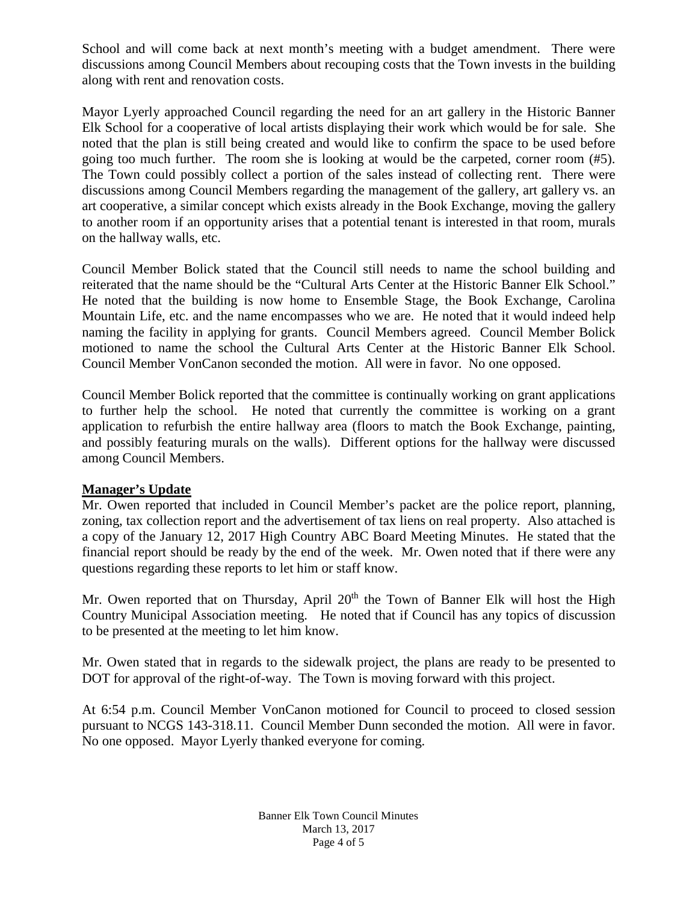School and will come back at next month's meeting with a budget amendment. There were discussions among Council Members about recouping costs that the Town invests in the building along with rent and renovation costs.

Mayor Lyerly approached Council regarding the need for an art gallery in the Historic Banner Elk School for a cooperative of local artists displaying their work which would be for sale. She noted that the plan is still being created and would like to confirm the space to be used before going too much further. The room she is looking at would be the carpeted, corner room (#5). The Town could possibly collect a portion of the sales instead of collecting rent. There were discussions among Council Members regarding the management of the gallery, art gallery vs. an art cooperative, a similar concept which exists already in the Book Exchange, moving the gallery to another room if an opportunity arises that a potential tenant is interested in that room, murals on the hallway walls, etc.

Council Member Bolick stated that the Council still needs to name the school building and reiterated that the name should be the "Cultural Arts Center at the Historic Banner Elk School." He noted that the building is now home to Ensemble Stage, the Book Exchange, Carolina Mountain Life, etc. and the name encompasses who we are. He noted that it would indeed help naming the facility in applying for grants. Council Members agreed. Council Member Bolick motioned to name the school the Cultural Arts Center at the Historic Banner Elk School. Council Member VonCanon seconded the motion. All were in favor. No one opposed.

Council Member Bolick reported that the committee is continually working on grant applications to further help the school. He noted that currently the committee is working on a grant application to refurbish the entire hallway area (floors to match the Book Exchange, painting, and possibly featuring murals on the walls). Different options for the hallway were discussed among Council Members.

# **Manager's Update**

Mr. Owen reported that included in Council Member's packet are the police report, planning, zoning, tax collection report and the advertisement of tax liens on real property. Also attached is a copy of the January 12, 2017 High Country ABC Board Meeting Minutes. He stated that the financial report should be ready by the end of the week. Mr. Owen noted that if there were any questions regarding these reports to let him or staff know.

Mr. Owen reported that on Thursday, April  $20<sup>th</sup>$  the Town of Banner Elk will host the High Country Municipal Association meeting. He noted that if Council has any topics of discussion to be presented at the meeting to let him know.

Mr. Owen stated that in regards to the sidewalk project, the plans are ready to be presented to DOT for approval of the right-of-way. The Town is moving forward with this project.

At 6:54 p.m. Council Member VonCanon motioned for Council to proceed to closed session pursuant to NCGS 143-318.11. Council Member Dunn seconded the motion. All were in favor. No one opposed. Mayor Lyerly thanked everyone for coming.